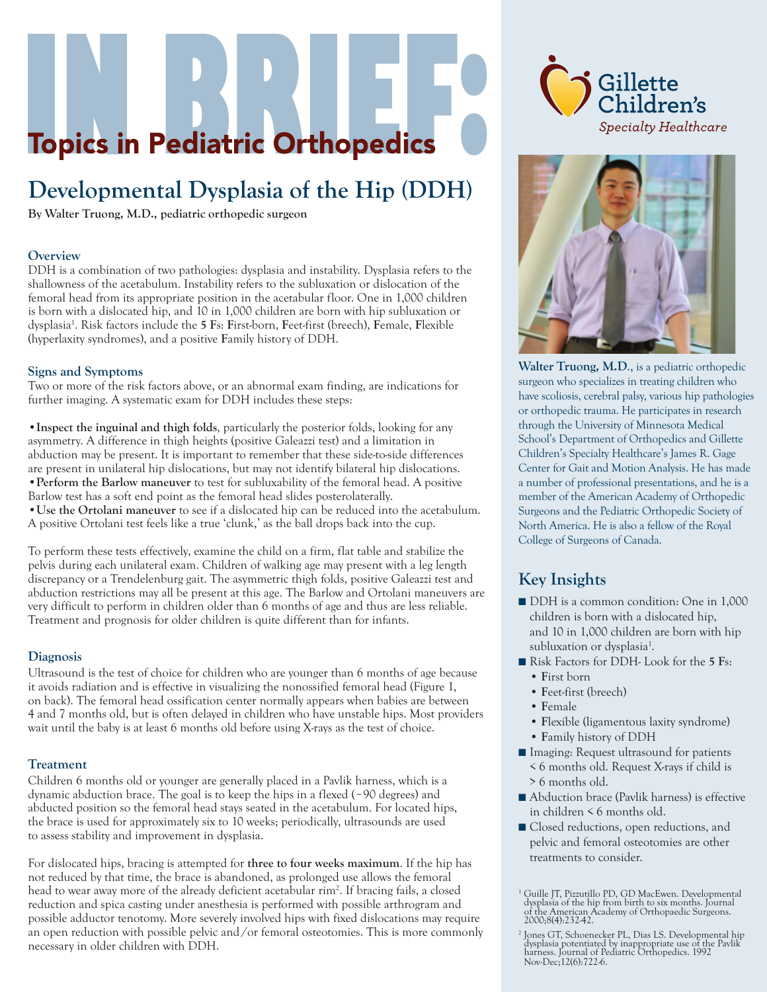# **Topics in Pediatric Orthopedics**

## **Developmental Dysplasia of the Hip (DDH)**

**By Walter Truong, M.D., pediatric orthopedic surgeon**

#### **Overview**

DDH is a combination of two pathologies: dysplasia and instability. Dysplasia refers to the shallowness of the acetabulum. Instability refers to the subluxation or dislocation of the femoral head from its appropriate position in the acetabular floor. One in 1,000 children is born with a dislocated hip, and 10 in 1,000 children are born with hip subluxation or dysplasia1 . Risk factors include the **5 F**s: **F**irst-born, **F**eet-first (breech), **F**emale, **F**lexible (hyperlaxity syndromes), and a positive **F**amily history of DDH.

#### **Signs and Symptoms**

Two or more of the risk factors above, or an abnormal exam finding, are indications for further imaging. A systematic exam for DDH includes these steps:

**•Inspect the inguinal and thigh folds**, particularly the posterior folds, looking for any asymmetry. A difference in thigh heights (positive Galeazzi test) and a limitation in abduction may be present. It is important to remember that these side-to-side differences are present in unilateral hip dislocations, but may not identify bilateral hip dislocations. **•Perform the Barlow maneuver** to test for subluxability of the femoral head. A positive Barlow test has a soft end point as the femoral head slides posterolaterally. •**Use the Ortolani maneuver** to see if a dislocated hip can be reduced into the acetabulum. A positive Ortolani test feels like a true 'clunk,' as the ball drops back into the cup.

To perform these tests effectively, examine the child on a firm, flat table and stabilize the pelvis during each unilateral exam. Children of walking age may present with a leg length discrepancy or a Trendelenburg gait. The asymmetric thigh folds, positive Galeazzi test and abduction restrictions may all be present at this age. The Barlow and Ortolani maneuvers are very difficult to perform in children older than 6 months of age and thus are less reliable. Treatment and prognosis for older children is quite different than for infants.

#### **Diagnosis**

Ultrasound is the test of choice for children who are younger than 6 months of age because it avoids radiation and is effective in visualizing the nonossified femoral head (Figure 1, on back). The femoral head ossification center normally appears when babies are between 4 and 7 months old, but is often delayed in children who have unstable hips. Most providers wait until the baby is at least 6 months old before using X-rays as the test of choice.

#### **Treatment**

Children 6 months old or younger are generally placed in a Pavlik harness, which is a dynamic abduction brace. The goal is to keep the hips in a flexed (~90 degrees) and abducted position so the femoral head stays seated in the acetabulum. For located hips, the brace is used for approximately six to 10 weeks; periodically, ultrasounds are used to assess stability and improvement in dysplasia.

For dislocated hips, bracing is attempted for **three to four weeks maximum**. If the hip has not reduced by that time, the brace is abandoned, as prolonged use allows the femoral head to wear away more of the already deficient acetabular rim2 . If bracing fails, a closed reduction and spica casting under anesthesia is performed with possible arthrogram and possible adductor tenotomy. More severely involved hips with fixed dislocations may require an open reduction with possible pelvic and /or femoral osteotomies. This is more commonly necessary in older children with DDH.





**Walter Truong, M.D**., is a pediatric orthopedic surgeon who specializes in treating children who have scoliosis, cerebral palsy, various hip pathologies or orthopedic trauma. He participates in research through the University of Minnesota Medical School's Department of Orthopedics and Gillette Children's Specialty Healthcare's James R. Gage Center for Gait and Motion Analysis. He has made a number of professional presentations, and he is a member of the American Academy of Orthopedic Surgeons and the Pediatric Orthopedic Society of North America. He is also a fellow of the Royal College of Surgeons of Canada.

### **Key Insights**

- DDH is a common condition: One in 1,000 children is born with a dislocated hip, and 10 in 1,000 children are born with hip subluxation or dysplasia<sup>1</sup>.
- Risk Factors for DDH- Look for the **5** Fs:
	- **F**irst born
	- **F**eet-first (breech)
	- **F**emale
	- **F**lexible (ligamentous laxity syndrome)
	- **F**amily history of DDH
- Imaging: Request ultrasound for patients < 6 months old. Request X-rays if child is > 6 months old.
- Abduction brace (Pavlik harness) is effective in children < 6 months old.
- Closed reductions, open reductions, and pelvic and femoral osteotomies are other treatments to consider.

<sup>1</sup> Guille JT, Pizzutillo PD, GD MacEwen. Developmental dysplasia of the hip from birth to six months. Journal of the American Academy of Orthopaedic Surgeons. 2000;8(4):232-42.

<sup>&</sup>lt;sup>2</sup> Jones GT, Schoenecker PL, Dias LS. Developmental hip Jones GT, Schoenecker PL, Dias LS. Developmental hip dysplasia potentiated by inappropriate use of the Pavlik harness. Journal of Pediatric Orthopedics. 1992 Nov-Dec;12(6):722-6.